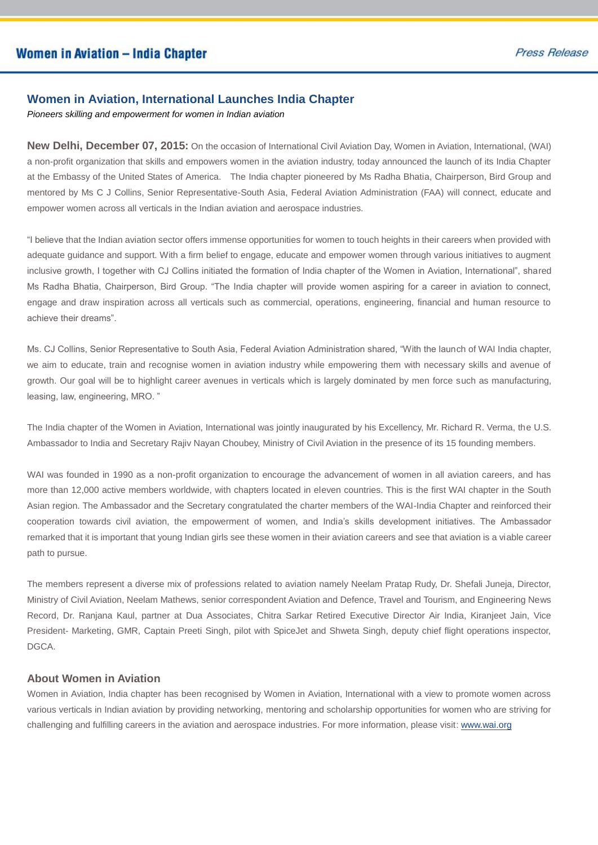## **Women in Aviation, International Launches India Chapter**

*Pioneers skilling and empowerment for women in Indian aviation*

**New Delhi, December 07, 2015:** On the occasion of International Civil Aviation Day, Women in Aviation, International, (WAI) a non-profit organization that skills and empowers women in the aviation industry, today announced the launch of its India Chapter at the Embassy of the United States of America. The India chapter pioneered by Ms Radha Bhatia, Chairperson, Bird Group and mentored by Ms C J Collins, Senior Representative-South Asia, Federal Aviation Administration (FAA) will connect, educate and empower women across all verticals in the Indian aviation and aerospace industries.

"I believe that the Indian aviation sector offers immense opportunities for women to touch heights in their careers when provided with adequate guidance and support. With a firm belief to engage, educate and empower women through various initiatives to augment inclusive growth, I together with CJ Collins initiated the formation of India chapter of the Women in Aviation, International", shared Ms Radha Bhatia, Chairperson, Bird Group. "The India chapter will provide women aspiring for a career in aviation to connect, engage and draw inspiration across all verticals such as commercial, operations, engineering, financial and human resource to achieve their dreams".

Ms. CJ Collins, Senior Representative to South Asia, Federal Aviation Administration shared, "With the launch of WAI India chapter, we aim to educate, train and recognise women in aviation industry while empowering them with necessary skills and avenue of growth. Our goal will be to highlight career avenues in verticals which is largely dominated by men force such as manufacturing, leasing, law, engineering, MRO. "

The India chapter of the Women in Aviation, International was jointly inaugurated by his Excellency, Mr. Richard R. Verma, the U.S. Ambassador to India and Secretary Rajiv Nayan Choubey, Ministry of Civil Aviation in the presence of its 15 founding members.

WAI was founded in 1990 as a non-profit organization to encourage the advancement of women in all aviation careers, and has more than 12,000 active members worldwide, with chapters located in eleven countries. This is the first WAI chapter in the South Asian region. The Ambassador and the Secretary congratulated the charter members of the WAI-India Chapter and reinforced their cooperation towards civil aviation, the empowerment of women, and India's skills development initiatives. The Ambassador remarked that it is important that young Indian girls see these women in their aviation careers and see that aviation is a viable career path to pursue.

The members represent a diverse mix of professions related to aviation namely Neelam Pratap Rudy, Dr. Shefali Juneja, Director, Ministry of Civil Aviation, Neelam Mathews, senior correspondent Aviation and Defence, Travel and Tourism, and Engineering News Record, Dr. Ranjana Kaul, partner at Dua Associates, Chitra Sarkar Retired Executive Director Air India, Kiranjeet Jain, Vice President- Marketing, GMR, Captain Preeti Singh, pilot with SpiceJet and Shweta Singh, deputy chief flight operations inspector, DGCA.

## **About Women in Aviation**

Women in Aviation, India chapter has been recognised by Women in Aviation, International with a view to promote women across various verticals in Indian aviation by providing networking, mentoring and scholarship opportunities for women who are striving for challenging and fulfilling careers in the aviation and aerospace industries. For more information, please visit: www.wai.org